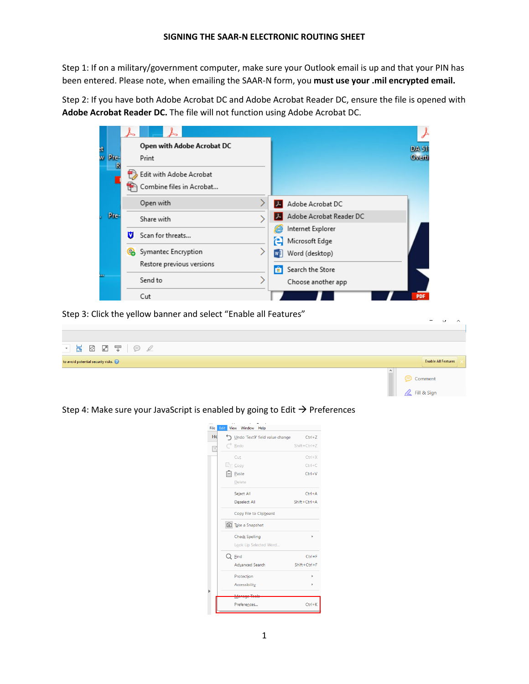Step 1: If on a military/government computer, make sure your Outlook email is up and that your PIN has been entered. Please note, when emailing the SAAR-N form, you **must use your .mil encrypted email.**

Step 2: If you have both Adobe Acrobat DC and Adobe Acrobat Reader DC, ensure the file is opened with **Adobe Acrobat Reader DC.** The file will not function using Adobe Acrobat DC.

| 3t |        |   | Open with Adobe Acrobat DC |                                               | <b>DA 51</b> |
|----|--------|---|----------------------------|-----------------------------------------------|--------------|
|    | w Pre- |   | Print                      |                                               | Overti       |
|    | R      |   | Edit with Adobe Acrobat    |                                               |              |
|    |        |   | Combine files in Acrobat   |                                               |              |
|    |        |   | Open with                  | Adobe Acrobat DC                              |              |
|    | Pre-   |   | Share with                 | Adobe Acrobat Reader DC                       |              |
|    |        | v | Scan for threats           | Internet Explorer<br>e<br>Microsoft Edge<br>е |              |
|    |        | Q | Symantec Encryption        | Word (desktop)<br>w∃                          |              |
|    |        |   | Restore previous versions  | Search the Store<br>ы                         |              |
|    |        |   | Send to                    | Choose another app                            |              |
|    |        |   | Cut                        |                                               | <b>PDF</b>   |

Step 3: Click the yellow banner and select "Enable all Features"



Step 4: Make sure your JavaScript is enabled by going to Edit  $\rightarrow$  Preferences

| File | Edit | <b>View</b><br>Window Help      |                   |
|------|------|---------------------------------|-------------------|
| Hd   |      | Undo 'Text9' field value change | $Ctrl + Z$        |
| F    | ₹    | Redo                            | $Shift +Ctrl + Z$ |
|      |      | Cut                             | $Ctrl+X$          |
|      |      | $E \equiv C$ opy                | $Ctrl + C$        |
|      |      | $\boxed{=}$ Paste               | $Ctrl + V$        |
|      |      | Delete                          |                   |
|      |      | Select All                      | $Ctrl + A$        |
|      |      | <b>Deselect All</b>             | Shift+Ctrl+A      |
|      |      | Copy File to Clipboard          |                   |
|      |      | Take a Snapshot                 |                   |
|      |      | <b>Check Spelling</b>           | ٠                 |
|      |      | Look Up Selected Word           |                   |
|      |      | $Q$ Eind                        | $Ctrl + F$        |
|      |      | <b>Advanced Search</b>          | Shift+Ctrl+F      |
|      |      | Protection                      | Þ                 |
|      |      | Accessibility                   |                   |
|      |      |                                 |                   |
|      |      | Preferences                     | $Ctrl + K$        |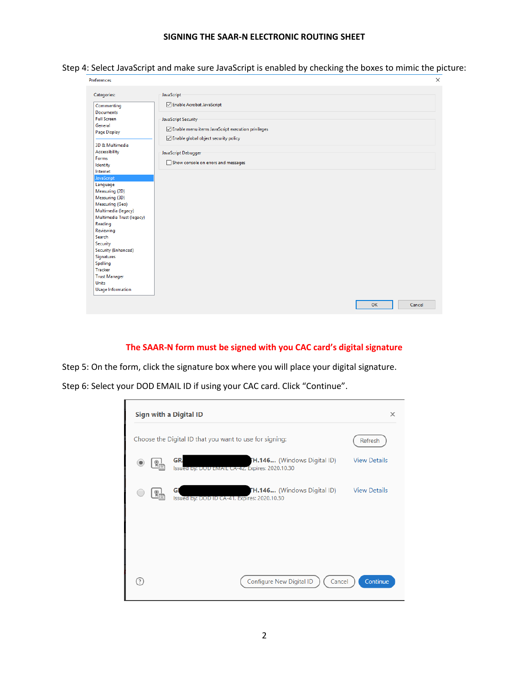## **SIGNING THE SAAR-N ELECTRONIC ROUTING SHEET**

Step 4: Select JavaScript and make sure JavaScript is enabled by checking the boxes to mimic the picture:

| Preferences                          |                                                   |    | ×      |
|--------------------------------------|---------------------------------------------------|----|--------|
| Categories:                          | <b>JavaScript</b>                                 |    |        |
| Commenting<br><b>Documents</b>       | □ Enable Acrobat JavaScript                       |    |        |
| <b>Full Screen</b>                   | JavaScript Security                               |    |        |
| General                              | Enable menu items JavaScript execution privileges |    |        |
| Page Display                         | ○ Enable global object security policy            |    |        |
| 3D & Multimedia                      |                                                   |    |        |
| Accessibility<br>Forms               | JavaScript Debugger                               |    |        |
| Identity                             | Show console on errors and messages               |    |        |
| Internet                             |                                                   |    |        |
| JavaScript                           |                                                   |    |        |
| Language<br>Measuring (2D)           |                                                   |    |        |
| Measuring (3D)                       |                                                   |    |        |
| Measuring (Geo)                      |                                                   |    |        |
| Multimedia (legacy)                  |                                                   |    |        |
| Multimedia Trust (legacy)            |                                                   |    |        |
| Reading                              |                                                   |    |        |
| Reviewing<br>Search                  |                                                   |    |        |
| Security                             |                                                   |    |        |
| Security (Enhanced)                  |                                                   |    |        |
| Signatures                           |                                                   |    |        |
| Spelling                             |                                                   |    |        |
| Tracker                              |                                                   |    |        |
| <b>Trust Manager</b><br><b>Units</b> |                                                   |    |        |
| <b>Usage Information</b>             |                                                   |    |        |
|                                      |                                                   |    |        |
|                                      |                                                   | OK | Cancel |
|                                      |                                                   |    |        |

## **The SAAR-N form must be signed with you CAC card's digital signature**

Step 5: On the form, click the signature box where you will place your digital signature.

Step 6: Select your DOD EMAIL ID if using your CAC card. Click "Continue".

|               | Sign with a Digital ID                                                                            | X                   |
|---------------|---------------------------------------------------------------------------------------------------|---------------------|
|               | Choose the Digital ID that you want to use for signing:                                           | Refresh             |
| $\frac{1}{2}$ | <b>GR</b><br><b>H.146</b> (Windows Digital ID)<br>Issued by: DOD EMAIL CA-42, Expires: 2020.10.30 | <b>View Details</b> |
| $\mathbb{F}$  | <b>FH.146</b> (Windows Digital ID)<br>GI<br>Issued by: DOD ID CA-41, Expires: 2020.10.30          | <b>View Details</b> |
|               |                                                                                                   |                     |
|               |                                                                                                   |                     |
|               | Configure New Digital ID<br>Cancel                                                                | Continue            |